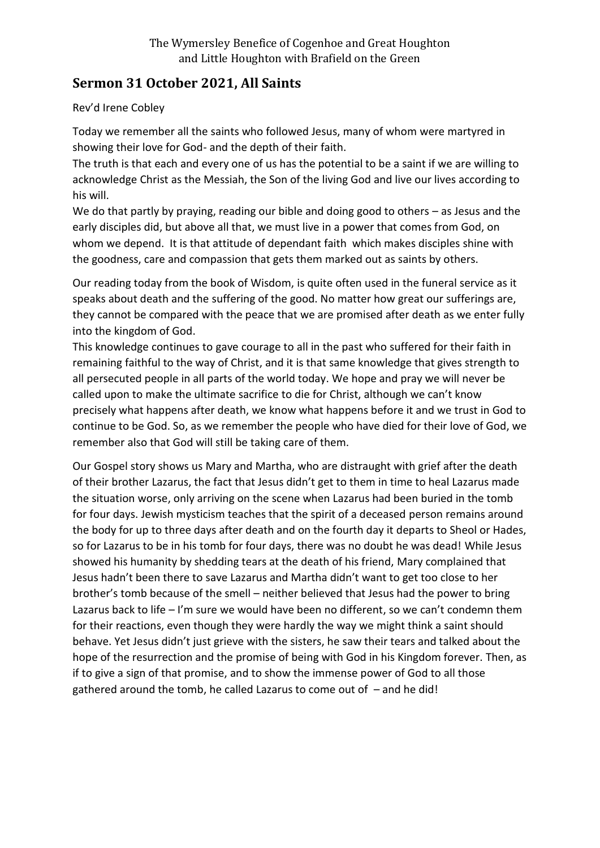## **Sermon 31 October 2021, All Saints**

Rev'd Irene Cobley

Today we remember all the saints who followed Jesus, many of whom were martyred in showing their love for God- and the depth of their faith.

The truth is that each and every one of us has the potential to be a saint if we are willing to acknowledge Christ as the Messiah, the Son of the living God and live our lives according to his will.

We do that partly by praying, reading our bible and doing good to others – as Jesus and the early disciples did, but above all that, we must live in a power that comes from God, on whom we depend. It is that attitude of dependant faith which makes disciples shine with the goodness, care and compassion that gets them marked out as saints by others.

Our reading today from the book of Wisdom, is quite often used in the funeral service as it speaks about death and the suffering of the good. No matter how great our sufferings are, they cannot be compared with the peace that we are promised after death as we enter fully into the kingdom of God.

This knowledge continues to gave courage to all in the past who suffered for their faith in remaining faithful to the way of Christ, and it is that same knowledge that gives strength to all persecuted people in all parts of the world today. We hope and pray we will never be called upon to make the ultimate sacrifice to die for Christ, although we can't know precisely what happens after death, we know what happens before it and we trust in God to continue to be God. So, as we remember the people who have died for their love of God, we remember also that God will still be taking care of them.

Our Gospel story shows us Mary and Martha, who are distraught with grief after the death of their brother Lazarus, the fact that Jesus didn't get to them in time to heal Lazarus made the situation worse, only arriving on the scene when Lazarus had been buried in the tomb for four days. Jewish mysticism teaches that the spirit of a deceased person remains around the body for up to three days after death and on the fourth day it departs to Sheol or Hades, so for Lazarus to be in his tomb for four days, there was no doubt he was dead! While Jesus showed his humanity by shedding tears at the death of his friend, Mary complained that Jesus hadn't been there to save Lazarus and Martha didn't want to get too close to her brother's tomb because of the smell – neither believed that Jesus had the power to bring Lazarus back to life – I'm sure we would have been no different, so we can't condemn them for their reactions, even though they were hardly the way we might think a saint should behave. Yet Jesus didn't just grieve with the sisters, he saw their tears and talked about the hope of the resurrection and the promise of being with God in his Kingdom forever. Then, as if to give a sign of that promise, and to show the immense power of God to all those gathered around the tomb, he called Lazarus to come out of – and he did!